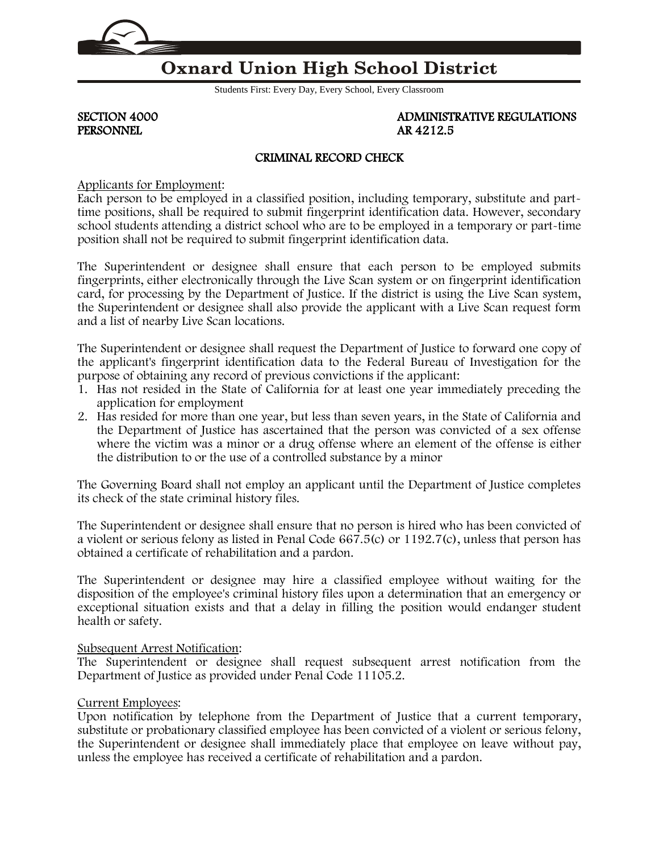

# **Oxnard Union High School District**

Students First: Every Day, Every School, Every Classroom

PERSONNEL

SECTION 4000 ADMINISTRATIVE REGULATIONS<br>PERSONNEL ARE 4212.5

## CRIMINAL RECORD CHECK

Applicants for Employment:

Each person to be employed in a classified position, including temporary, substitute and parttime positions, shall be required to submit fingerprint identification data. However, secondary school students attending a district school who are to be employed in a temporary or part-time position shall not be required to submit fingerprint identification data.

The Superintendent or designee shall ensure that each person to be employed submits fingerprints, either electronically through the Live Scan system or on fingerprint identification card, for processing by the Department of Justice. If the district is using the Live Scan system, the Superintendent or designee shall also provide the applicant with a Live Scan request form and a list of nearby Live Scan locations.

The Superintendent or designee shall request the Department of Justice to forward one copy of the applicant's fingerprint identification data to the Federal Bureau of Investigation for the purpose of obtaining any record of previous convictions if the applicant:

- 1. Has not resided in the State of California for at least one year immediately preceding the application for employment
- 2. Has resided for more than one year, but less than seven years, in the State of California and the Department of Justice has ascertained that the person was convicted of a sex offense where the victim was a minor or a drug offense where an element of the offense is either the distribution to or the use of a controlled substance by a minor

The Governing Board shall not employ an applicant until the Department of Justice completes its check of the state criminal history files.

The Superintendent or designee shall ensure that no person is hired who has been convicted of a violent or serious felony as listed in Penal Code 667.5(c) or 1192.7(c), unless that person has obtained a certificate of rehabilitation and a pardon.

The Superintendent or designee may hire a classified employee without waiting for the disposition of the employee's criminal history files upon a determination that an emergency or exceptional situation exists and that a delay in filling the position would endanger student health or safety.

### Subsequent Arrest Notification:

The Superintendent or designee shall request subsequent arrest notification from the Department of Justice as provided under Penal Code 11105.2.

### Current Employees:

Upon notification by telephone from the Department of Justice that a current temporary, substitute or probationary classified employee has been convicted of a violent or serious felony, the Superintendent or designee shall immediately place that employee on leave without pay, unless the employee has received a certificate of rehabilitation and a pardon.